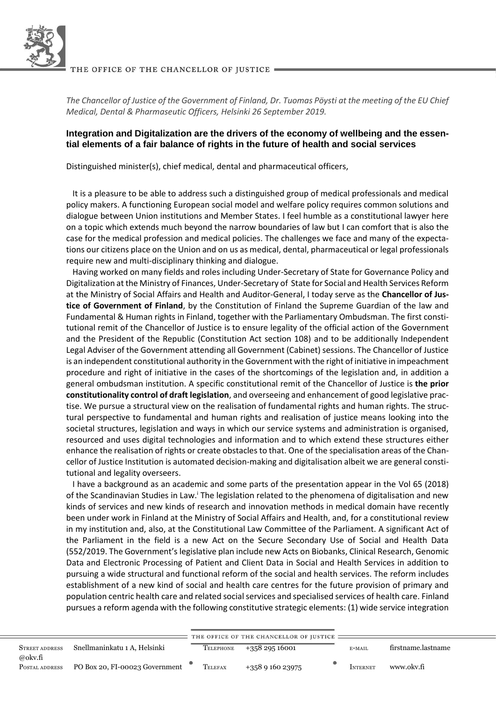

*The Chancellor of Justice of the Government of Finland, Dr. Tuomas Pöysti at the meeting of the EU Chief Medical, Dental & Pharmaseutic Officers, Helsinki 26 September 2019.* 

## **Integration and Digitalization are the drivers of the economy of wellbeing and the essential elements of a fair balance of rights in the future of health and social services**

Distinguished minister(s), chief medical, dental and pharmaceutical officers,

 It is a pleasure to be able to address such a distinguished group of medical professionals and medical policy makers. A functioning European social model and welfare policy requires common solutions and dialogue between Union institutions and Member States. I feel humble as a constitutional lawyer here on a topic which extends much beyond the narrow boundaries of law but I can comfort that is also the case for the medical profession and medical policies. The challenges we face and many of the expectations our citizens place on the Union and on us as medical, dental, pharmaceutical or legal professionals require new and multi-disciplinary thinking and dialogue.

 Having worked on many fields and roles including Under-Secretary of State for Governance Policy and Digitalization at the Ministry of Finances, Under-Secretary of State for Social and Health Services Reform at the Ministry of Social Affairs and Health and Auditor-General, I today serve as the **Chancellor of Justice of Government of Finland**, by the Constitution of Finland the Supreme Guardian of the law and Fundamental & Human rights in Finland, together with the Parliamentary Ombudsman. The first constitutional remit of the Chancellor of Justice is to ensure legality of the official action of the Government and the President of the Republic (Constitution Act section 108) and to be additionally Independent Legal Adviser of the Government attending all Government (Cabinet) sessions. The Chancellor of Justice is an independent constitutional authority in the Government with the right of initiative in impeachment procedure and right of initiative in the cases of the shortcomings of the legislation and, in addition a general ombudsman institution. A specific constitutional remit of the Chancellor of Justice is **the prior constitutionality control of draft legislation**, and overseeing and enhancement of good legislative practise. We pursue a structural view on the realisation of fundamental rights and human rights. The structural perspective to fundamental and human rights and realisation of justice means looking into the societal structures, legislation and ways in which our service systems and administration is organised, resourced and uses digital technologies and information and to which extend these structures either enhance the realisation of rights or create obstacles to that. One of the specialisation areas of the Chancellor of Justice Institution is automated decision-making and digitalisation albeit we are general constitutional and legality overseers.

 I have a background as an academic and some parts of the presentation appear in the Vol 65 (2018) of the Scandinavian Studies in Law.<sup>i</sup> The legislation related to the phenomena of digitalisation and new kinds of services and new kinds of research and innovation methods in medical domain have recently been under work in Finland at the Ministry of Social Affairs and Health, and, for a constitutional review in my institution and, also, at the Constitutional Law Committee of the Parliament. A significant Act of the Parliament in the field is a new Act on the Secure Secondary Use of Social and Health Data (552/2019. The Government's legislative plan include new Acts on Biobanks, Clinical Research, Genomic Data and Electronic Processing of Patient and Client Data in Social and Health Services in addition to pursuing a wide structural and functional reform of the social and health services. The reform includes establishment of a new kind of social and health care centres for the future provision of primary and population centric health care and related social services and specialised services of health care. Finland pursues a reform agenda with the following constitutive strategic elements: (1) wide service integration

|                           |                                |           | THE OFFICE OF THE CHANCELLOR OF JUSTICE = |          |                    |
|---------------------------|--------------------------------|-----------|-------------------------------------------|----------|--------------------|
| <b>STREET ADDRESS</b>     | Snellmaninkatu 1 A. Helsinki   | TELEPHONE | $+35829516001$                            | E-MAIL   | firstname.lastname |
| @okv.fi<br>POSTAL ADDRESS | PO Box 20, FI-00023 Government | TELEFAX   | $+358916023975$                           | INTERNET | www.okv.fi         |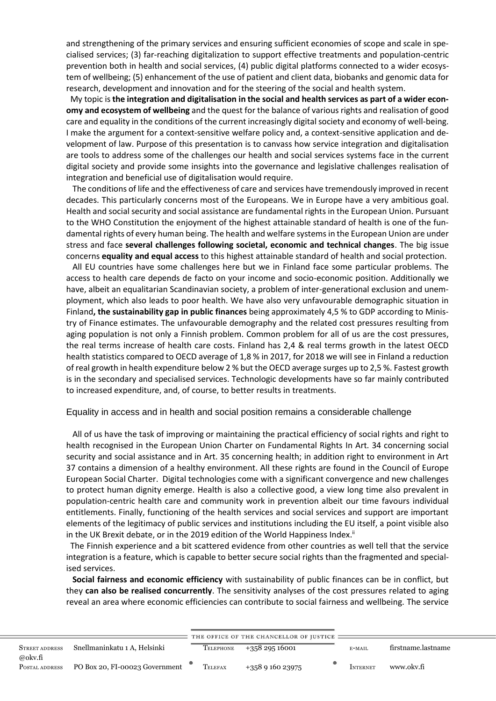and strengthening of the primary services and ensuring sufficient economies of scope and scale in specialised services; (3) far-reaching digitalization to support effective treatments and population-centric prevention both in health and social services, (4) public digital platforms connected to a wider ecosystem of wellbeing; (5) enhancement of the use of patient and client data, biobanks and genomic data for research, development and innovation and for the steering of the social and health system.

 My topic is **the integration and digitalisation in the social and health services as part of a wider economy and ecosystem of wellbeing** and the quest for the balance of various rights and realisation of good care and equality in the conditions of the current increasingly digital society and economy of well-being. I make the argument for a context-sensitive welfare policy and, a context-sensitive application and development of law. Purpose of this presentation is to canvass how service integration and digitalisation are tools to address some of the challenges our health and social services systems face in the current digital society and provide some insights into the governance and legislative challenges realisation of integration and beneficial use of digitalisation would require.

 The conditions of life and the effectiveness of care and services have tremendously improved in recent decades. This particularly concerns most of the Europeans. We in Europe have a very ambitious goal. Health and social security and social assistance are fundamental rights in the European Union. Pursuant to the WHO Constitution the enjoyment of the highest attainable standard of health is one of the fundamental rights of every human being. The health and welfare systems in the European Union are under stress and face **several challenges following societal, economic and technical changes**. The big issue concerns **equality and equal access** to this highest attainable standard of health and social protection.

 All EU countries have some challenges here but we in Finland face some particular problems. The access to health care depends de facto on your income and socio-economic position. Additionally we have, albeit an equalitarian Scandinavian society, a problem of inter-generational exclusion and unemployment, which also leads to poor health. We have also very unfavourable demographic situation in Finland**, the sustainability gap in public finances** being approximately 4,5 % to GDP according to Ministry of Finance estimates. The unfavourable demography and the related cost pressures resulting from aging population is not only a Finnish problem. Common problem for all of us are the cost pressures, the real terms increase of health care costs. Finland has 2,4 & real terms growth in the latest OECD health statistics compared to OECD average of 1,8 % in 2017, for 2018 we will see in Finland a reduction of real growth in health expenditure below 2 % but the OECD average surges up to 2,5 %. Fastest growth is in the secondary and specialised services. Technologic developments have so far mainly contributed to increased expenditure, and, of course, to better results in treatments.

### Equality in access and in health and social position remains a considerable challenge

 All of us have the task of improving or maintaining the practical efficiency of social rights and right to health recognised in the European Union Charter on Fundamental Rights In Art. 34 concerning social security and social assistance and in Art. 35 concerning health; in addition right to environment in Art 37 contains a dimension of a healthy environment. All these rights are found in the Council of Europe European Social Charter. Digital technologies come with a significant convergence and new challenges to protect human dignity emerge. Health is also a collective good, a view long time also prevalent in population-centric health care and community work in prevention albeit our time favours individual entitlements. Finally, functioning of the health services and social services and support are important elements of the legitimacy of public services and institutions including the EU itself, a point visible also in the UK Brexit debate, or in the 2019 edition of the World Happiness Index.<sup>ii</sup>

 The Finnish experience and a bit scattered evidence from other countries as well tell that the service integration is a feature, which is capable to better secure social rights than the fragmented and specialised services.

 **Social fairness and economic efficiency** with sustainability of public finances can be in conflict, but they **can also be realised concurrently**. The sensitivity analyses of the cost pressures related to aging reveal an area where economic efficiencies can contribute to social fairness and wellbeing. The service

|                       |                                |           | THE OFFICE OF THE CHANCELLOR OF JUSTICE: |          |                    |  |
|-----------------------|--------------------------------|-----------|------------------------------------------|----------|--------------------|--|
| <b>STREET ADDRESS</b> | Snellmaninkatu 1 A. Helsinki   | TELEPHONE | +358 295 16001                           | E-MAIL   | firstname.lastname |  |
| @okv.fi               |                                |           |                                          |          |                    |  |
| POSTAL ADDRESS        | PO Box 20, FI-00023 Government | TELEFAX   | $+358916023975$                          | INTERNET | www.okv.fi         |  |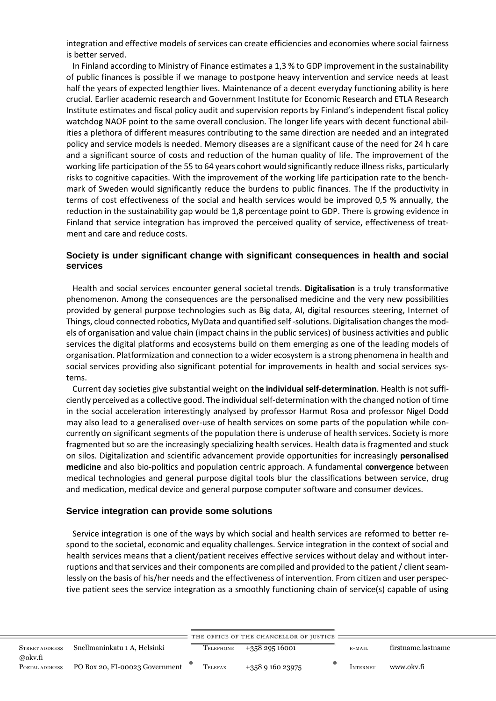integration and effective models of services can create efficiencies and economies where social fairness is better served.

 In Finland according to Ministry of Finance estimates a 1,3 % to GDP improvement in the sustainability of public finances is possible if we manage to postpone heavy intervention and service needs at least half the years of expected lengthier lives. Maintenance of a decent everyday functioning ability is here crucial. Earlier academic research and Government Institute for Economic Research and ETLA Research Institute estimates and fiscal policy audit and supervision reports by Finland's independent fiscal policy watchdog NAOF point to the same overall conclusion. The longer life years with decent functional abilities a plethora of different measures contributing to the same direction are needed and an integrated policy and service models is needed. Memory diseases are a significant cause of the need for 24 h care and a significant source of costs and reduction of the human quality of life. The improvement of the working life participation of the 55 to 64 years cohort would significantly reduce illness risks, particularly risks to cognitive capacities. With the improvement of the working life participation rate to the benchmark of Sweden would significantly reduce the burdens to public finances. The If the productivity in terms of cost effectiveness of the social and health services would be improved 0,5 % annually, the reduction in the sustainability gap would be 1,8 percentage point to GDP. There is growing evidence in Finland that service integration has improved the perceived quality of service, effectiveness of treatment and care and reduce costs.

### **Society is under significant change with significant consequences in health and social services**

 Health and social services encounter general societal trends. **Digitalisation** is a truly transformative phenomenon. Among the consequences are the personalised medicine and the very new possibilities provided by general purpose technologies such as Big data, AI, digital resources steering, Internet of Things, cloud connected robotics, MyData and quantified self -solutions. Digitalisation changes the models of organisation and value chain (impact chains in the public services) of business activities and public services the digital platforms and ecosystems build on them emerging as one of the leading models of organisation. Platformization and connection to a wider ecosystem is a strong phenomena in health and social services providing also significant potential for improvements in health and social services systems.

 Current day societies give substantial weight on **the individual self-determination**. Health is not sufficiently perceived as a collective good. The individual self-determination with the changed notion of time in the social acceleration interestingly analysed by professor Harmut Rosa and professor Nigel Dodd may also lead to a generalised over-use of health services on some parts of the population while concurrently on significant segments of the population there is underuse of health services. Society is more fragmented but so are the increasingly specializing health services. Health data is fragmented and stuck on silos. Digitalization and scientific advancement provide opportunities for increasingly **personalised medicine** and also bio-politics and population centric approach. A fundamental **convergence** between medical technologies and general purpose digital tools blur the classifications between service, drug and medication, medical device and general purpose computer software and consumer devices.

#### **Service integration can provide some solutions**

 Service integration is one of the ways by which social and health services are reformed to better respond to the societal, economic and equality challenges. Service integration in the context of social and health services means that a client/patient receives effective services without delay and without interruptions and that services and their components are compiled and provided to the patient / client seamlessly on the basis of his/her needs and the effectiveness of intervention. From citizen and user perspective patient sees the service integration as a smoothly functioning chain of service(s) capable of using

|                           |                                |           | THE OFFICE OF THE CHANCELLOR OF JUSTICE |                 |                    |
|---------------------------|--------------------------------|-----------|-----------------------------------------|-----------------|--------------------|
| <b>STREET ADDRESS</b>     | Snellmaninkatu 1 A, Helsinki   | TELEPHONE | $+35829516001$                          | E-MAIL          | firstname.lastname |
| @okv.fi<br>POSTAL ADDRESS | PO Box 20, FI-00023 Government | TELEFAX   | $+358916023975$                         | <b>INTERNET</b> | www.okv.fi         |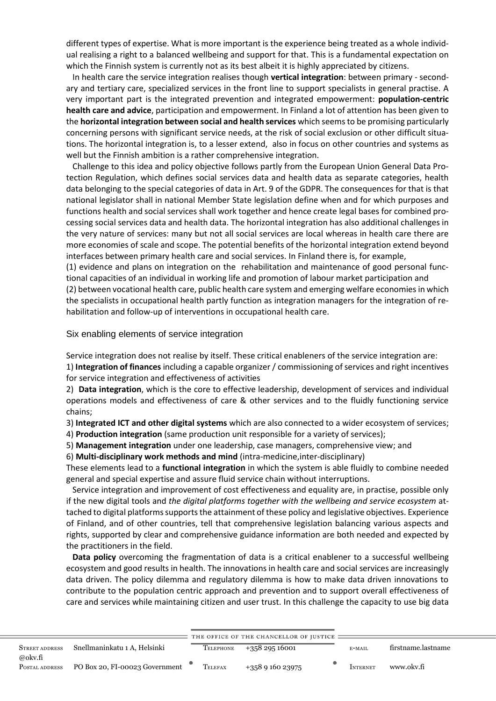different types of expertise. What is more important is the experience being treated as a whole individual realising a right to a balanced wellbeing and support for that. This is a fundamental expectation on which the Finnish system is currently not as its best albeit it is highly appreciated by citizens.

 In health care the service integration realises though **vertical integration**: between primary - secondary and tertiary care, specialized services in the front line to support specialists in general practise. A very important part is the integrated prevention and integrated empowerment: **population-centric health care and advice**, participation and empowerment. In Finland a lot of attention has been given to the **horizontal integration between social and health services** which seems to be promising particularly concerning persons with significant service needs, at the risk of social exclusion or other difficult situations. The horizontal integration is, to a lesser extend, also in focus on other countries and systems as well but the Finnish ambition is a rather comprehensive integration.

 Challenge to this idea and policy objective follows partly from the European Union General Data Protection Regulation, which defines social services data and health data as separate categories, health data belonging to the special categories of data in Art. 9 of the GDPR. The consequences for that is that national legislator shall in national Member State legislation define when and for which purposes and functions health and social services shall work together and hence create legal bases for combined processing social services data and health data. The horizontal integration has also additional challenges in the very nature of services: many but not all social services are local whereas in health care there are more economies of scale and scope. The potential benefits of the horizontal integration extend beyond interfaces between primary health care and social services. In Finland there is, for example,

(1) evidence and plans on integration on the rehabilitation and maintenance of good personal functional capacities of an individual in working life and promotion of labour market participation and (2) between vocational health care, public health care system and emerging welfare economies in which the specialists in occupational health partly function as integration managers for the integration of rehabilitation and follow-up of interventions in occupational health care.

Six enabling elements of service integration

Service integration does not realise by itself. These critical enableners of the service integration are:

1) **Integration of finances** including a capable organizer / commissioning of services and right incentives for service integration and effectiveness of activities

2) **Data integration**, which is the core to effective leadership, development of services and individual operations models and effectiveness of care & other services and to the fluidly functioning service chains;

3) **Integrated ICT and other digital systems** which are also connected to a wider ecosystem of services;

4) **Production integration** (same production unit responsible for a variety of services);

5) **Management integration** under one leadership, case managers, comprehensive view; and

6) **Multi-disciplinary work methods and mind** (intra-medicine,inter-disciplinary)

These elements lead to a **functional integration** in which the system is able fluidly to combine needed general and special expertise and assure fluid service chain without interruptions.

 Service integration and improvement of cost effectiveness and equality are, in practise, possible only if the new digital tools and *the digital platforms together with the wellbeing and service ecosystem* attached to digital platforms supports the attainment of these policy and legislative objectives. Experience of Finland, and of other countries, tell that comprehensive legislation balancing various aspects and rights, supported by clear and comprehensive guidance information are both needed and expected by the practitioners in the field.

 **Data policy** overcoming the fragmentation of data is a critical enablener to a successful wellbeing ecosystem and good results in health. The innovations in health care and social services are increasingly data driven. The policy dilemma and regulatory dilemma is how to make data driven innovations to contribute to the population centric approach and prevention and to support overall effectiveness of care and services while maintaining citizen and user trust. In this challenge the capacity to use big data

|                           |                                |           | THE OFFICE OF THE CHANCELLOR OF JUSTICE : |          |                    |
|---------------------------|--------------------------------|-----------|-------------------------------------------|----------|--------------------|
| <b>STREET ADDRESS</b>     | Snellmaninkatu 1 A. Helsinki   | TELEPHONE | +358 295 16001                            | E-MAIL   | firstname.lastname |
| @okv.fi<br>POSTAL ADDRESS | PO Box 20, FI-00023 Government | TELEFAX   | $+358916023975$                           | INTERNET | www.okv.fi         |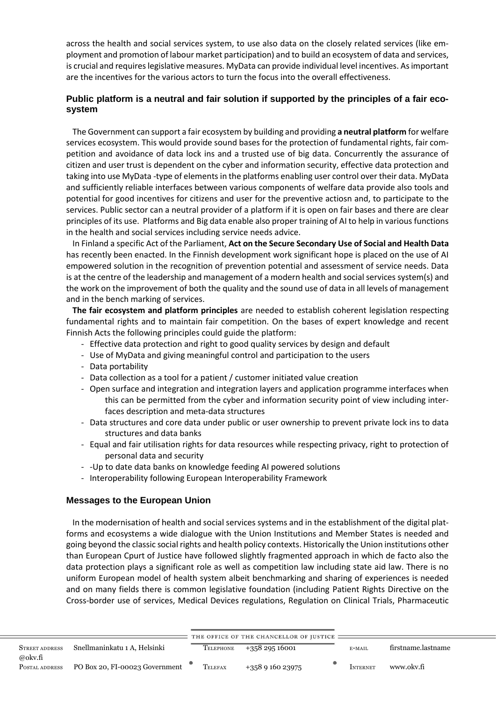across the health and social services system, to use also data on the closely related services (like employment and promotion of labour market participation) and to build an ecosystem of data and services, is crucial and requires legislative measures. MyData can provide individual level incentives. As important are the incentives for the various actors to turn the focus into the overall effectiveness.

# **Public platform is a neutral and fair solution if supported by the principles of a fair ecosystem**

 The Government can support a fair ecosystem by building and providing **a neutral platform** for welfare services ecosystem. This would provide sound bases for the protection of fundamental rights, fair competition and avoidance of data lock ins and a trusted use of big data. Concurrently the assurance of citizen and user trust is dependent on the cyber and information security, effective data protection and taking into use MyData -type of elements in the platforms enabling user control over their data. MyData and sufficiently reliable interfaces between various components of welfare data provide also tools and potential for good incentives for citizens and user for the preventive actiosn and, to participate to the services. Public sector can a neutral provider of a platform if it is open on fair bases and there are clear principles of its use. Platforms and Big data enable also proper training of AI to help in various functions in the health and social services including service needs advice.

 In Finland a specific Act of the Parliament, **Act on the Secure Secondary Use of Social and Health Data** has recently been enacted. In the Finnish development work significant hope is placed on the use of AI empowered solution in the recognition of prevention potential and assessment of service needs. Data is at the centre of the leadership and management of a modern health and social services system(s) and the work on the improvement of both the quality and the sound use of data in all levels of management and in the bench marking of services.

 **The fair ecosystem and platform principles** are needed to establish coherent legislation respecting fundamental rights and to maintain fair competition. On the bases of expert knowledge and recent Finnish Acts the following principles could guide the platform:

- Effective data protection and right to good quality services by design and default
- Use of MyData and giving meaningful control and participation to the users
- Data portability
- Data collection as a tool for a patient / customer initiated value creation
- Open surface and integration and integration layers and application programme interfaces when this can be permitted from the cyber and information security point of view including interfaces description and meta-data structures
- Data structures and core data under public or user ownership to prevent private lock ins to data structures and data banks
- Equal and fair utilisation rights for data resources while respecting privacy, right to protection of personal data and security
- -Up to date data banks on knowledge feeding AI powered solutions
- Interoperability following European Interoperability Framework

# **Messages to the European Union**

 In the modernisation of health and social services systems and in the establishment of the digital platforms and ecosystems a wide dialogue with the Union Institutions and Member States is needed and going beyond the classic social rights and health policy contexts. Historically the Union institutions other than European Cpurt of Justice have followed slightly fragmented approach in which de facto also the data protection plays a significant role as well as competition law including state aid law. There is no uniform European model of health system albeit benchmarking and sharing of experiences is needed and on many fields there is common legislative foundation (including Patient Rights Directive on the Cross-border use of services, Medical Devices regulations, Regulation on Clinical Trials, Pharmaceutic

|                           |                                |           | THE OFFICE OF THE CHANCELLOR OF JUSTICE = |                 |                    |
|---------------------------|--------------------------------|-----------|-------------------------------------------|-----------------|--------------------|
| <b>STREET ADDRESS</b>     | Snellmaninkatu 1 A. Helsinki   | TELEPHONE | $+35829516001$                            | E-MAIL          | firstname.lastname |
| @okv.fi<br>POSTAL ADDRESS | PO Box 20, FI-00023 Government | TELEFAX   | $+358916023975$                           | <b>INTERNET</b> | www.okv.fi         |